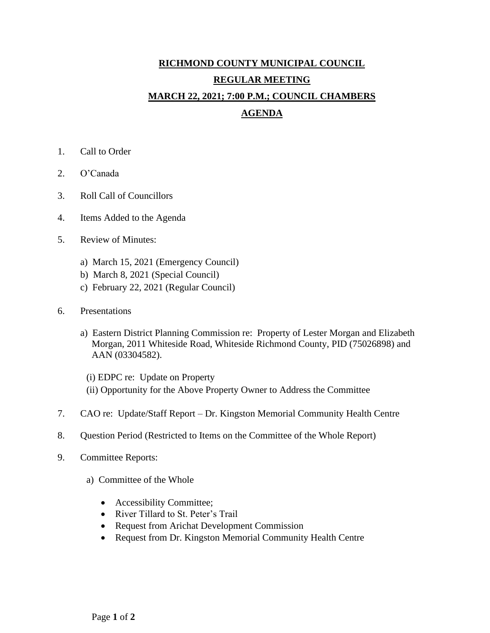## **RICHMOND COUNTY MUNICIPAL COUNCIL REGULAR MEETING MARCH 22, 2021; 7:00 P.M.; COUNCIL CHAMBERS AGENDA**

- 1. Call to Order
- 2. O'Canada
- 3. Roll Call of Councillors
- 4. Items Added to the Agenda
- 5. Review of Minutes:
	- a) March 15, 2021 (Emergency Council)
	- b) March 8, 2021 (Special Council)
	- c) February 22, 2021 (Regular Council)
- 6. Presentations
	- a) Eastern District Planning Commission re: Property of Lester Morgan and Elizabeth Morgan, 2011 Whiteside Road, Whiteside Richmond County, PID (75026898) and AAN (03304582).
		- (i) EDPC re: Update on Property
		- (ii) Opportunity for the Above Property Owner to Address the Committee
- 7. CAO re: Update/Staff Report Dr. Kingston Memorial Community Health Centre
- 8. Question Period (Restricted to Items on the Committee of the Whole Report)
- 9. Committee Reports:
	- a) Committee of the Whole
		- Accessibility Committee;
		- River Tillard to St. Peter's Trail
		- Request from Arichat Development Commission
		- Request from Dr. Kingston Memorial Community Health Centre